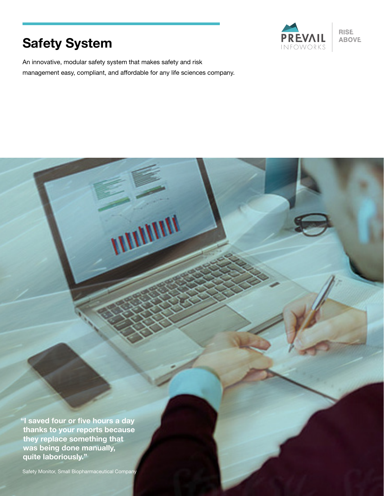# **Safety System**



An innovative, modular safety system that makes safety and risk management easy, compliant, and affordable for any life sciences company.

WINNIN

**"I saved four or five hours a day thanks to your reports because they replace something that was being done manually, quite laboriously."**

Safety Monitor, Small Biopharmaceutical Company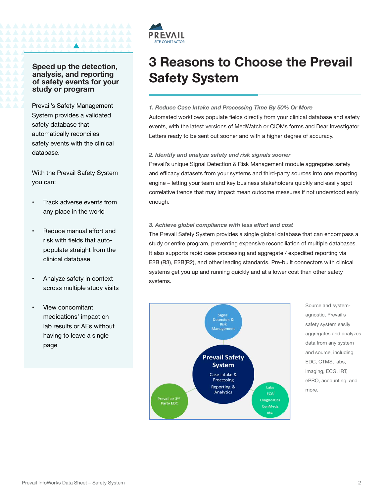# **Speed up the detection, analysis, and reporting of safety events for your study or program**

**AAAAAA** 

Prevail's Safety Management System provides a validated safety database that automatically reconciles safety events with the clinical database.

With the Prevail Safety System you can:

- Track adverse events from any place in the world
- Reduce manual effort and risk with fields that autopopulate straight from the clinical database
- Analyze safety in context across multiple study visits
- View concomitant medications' impact on lab results or AEs without having to leave a single page



# **3 Reasons to Choose the Prevail Safety System**

## *1. Reduce Case Intake and Processing Time By 50% Or More*

Automated workflows populate fields directly from your clinical database and safety events, with the latest versions of MedWatch or CIOMs forms and Dear Investigator Letters ready to be sent out sooner and with a higher degree of accuracy.

## *2. Identify and analyze safety and risk signals sooner*

Prevail's unique Signal Detection & Risk Management module aggregates safety and efficacy datasets from your systems and third-party sources into one reporting engine – letting your team and key business stakeholders quickly and easily spot correlative trends that may impact mean outcome measures if not understood early enough.

## *3. Achieve global compliance with less effort and cost*

The Prevail Safety System provides a single global database that can encompass a study or entire program, preventing expensive reconciliation of multiple databases. It also supports rapid case processing and aggregate / expedited reporting via E2B (R3), E2B(R2), and other leading standards. Pre-built connectors with clinical systems get you up and running quickly and at a lower cost than other safety systems.



Source and systemagnostic, Prevail's safety system easily aggregates and analyzes data from any system and source, including EDC, CTMS, labs, imaging, ECG, IRT, ePRO, accounting, and more.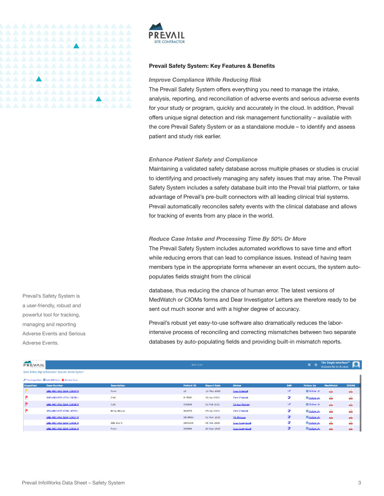

#### **Prevail Safety System: Key Features & Benefits**

## *Improve Compliance While Reducing Risk*

The Prevail Safety System offers everything you need to manage the intake, analysis, reporting, and reconciliation of adverse events and serious adverse events for your study or program, quickly and accurately in the cloud. In addition, Prevail offers unique signal detection and risk management functionality – available with the core Prevail Safety System or as a standalone module – to identify and assess patient and study risk earlier.

#### *Enhance Patient Safety and Compliance*

Maintaining a validated safety database across multiple phases or studies is crucial to identifying and proactively managing any safety issues that may arise. The Prevail Safety System includes a safety database built into the Prevail trial platform, or take advantage of Prevail's pre-built connectors with all leading clinical trial systems. Prevail automatically reconciles safety events with the clinical database and allows for tracking of events from any place in the world.

#### *Reduce Case Intake and Processing Time By 50% Or More*

The Prevail Safety System includes automated workflows to save time and effort while reducing errors that can lead to compliance issues. Instead of having team members type in the appropriate forms whenever an event occurs, the system autopopulates fields straight from the clinical

database, thus reducing the chance of human error. The latest versions of MedWatch or CIOMs forms and Dear Investigator Letters are therefore ready to be sent out much sooner and with a higher degree of accuracy.

Prevail's robust yet easy-to-use software also dramatically reduces the laborintensive process of reconciling and correcting mismatches between two separate databases by auto-populating fields and providing built-in mismatch reports.

| <b>FREVAIL!</b><br><b>INFORMORES</b>                 |                                             |                    |                                                                                                                                                                                                                                                                                                                                                                                                                                                        |             |                       |    | - -<br>М<br>Walcome Patrick Koenan- |   |      |  |  |
|------------------------------------------------------|---------------------------------------------|--------------------|--------------------------------------------------------------------------------------------------------------------------------------------------------------------------------------------------------------------------------------------------------------------------------------------------------------------------------------------------------------------------------------------------------------------------------------------------------|-------------|-----------------------|----|-------------------------------------|---|------|--|--|
| Early Safety Signal Detection System: Safety System. |                                             |                    |                                                                                                                                                                                                                                                                                                                                                                                                                                                        |             |                       |    |                                     |   |      |  |  |
|                                                      | Financial Trade Contributions Contributions |                    | <b>MadWatch</b><br><b>Status</b><br><b>Patient ID</b><br><b>Report Date</b><br><b>Gall</b><br><b>CIOMS</b><br><b>Follow Up</b><br><b>Alle</b><br><b>Alla</b><br>×<br>O Follow Up<br>23<br>13-May 2021<br><b>Cesa Created</b><br>å<br>d.<br>₽<br>Opdisolds<br>915096<br>31-Jan-2021<br>Case Covated<br>dia.<br><b>all</b><br>×<br>O Follow Up<br>02-Feb-2021<br>Cinical Review<br>015806<br>÷<br>∙<br>05-an-2021<br>Case Covated<br>Opdies Up<br>900053 |             |                       |    |                                     |   |      |  |  |
| Expedited                                            | <b>Case Number</b>                          | <b>Description</b> |                                                                                                                                                                                                                                                                                                                                                                                                                                                        |             |                       |    |                                     |   |      |  |  |
|                                                      | SAE ABC XYZ-1234-10039-0                    | <b>Tever</b>       |                                                                                                                                                                                                                                                                                                                                                                                                                                                        |             |                       |    |                                     |   |      |  |  |
| ⋗                                                    | SAF-ARC-XV7-1224-10039-1                    | <b>Cold</b>        |                                                                                                                                                                                                                                                                                                                                                                                                                                                        |             |                       |    |                                     |   |      |  |  |
| Þ                                                    | SAE ABC XYZ-1234-10038-0                    | Cold               |                                                                                                                                                                                                                                                                                                                                                                                                                                                        |             |                       |    |                                     |   |      |  |  |
| P                                                    | NEV-ARC-377-1234-10028-1                    | Renal Billiam      |                                                                                                                                                                                                                                                                                                                                                                                                                                                        |             |                       |    |                                     |   | d.   |  |  |
|                                                      | SAE ABC AYZ 1234-10037-0                    |                    | 0874563                                                                                                                                                                                                                                                                                                                                                                                                                                                | 02-Nov-2020 | <b>CC Process</b>     | z. | Opdise Us                           | ÷ | alis |  |  |
|                                                      | SAE ABC AYZ 1234 10036 0                    | SAE Event          | 0843435                                                                                                                                                                                                                                                                                                                                                                                                                                                | 05-Oct 2020 | <b>Cesa Completed</b> | ∙  | Opdies Up                           | ÷ | d.   |  |  |
|                                                      | SAE ABC AYZ 1234-10035-0                    | <b>Favour</b>      | popese                                                                                                                                                                                                                                                                                                                                                                                                                                                 | 29-Sep 2020 | <b>Cesa Campleted</b> | ø  | Opdies Up                           | ÷ | ÷    |  |  |
|                                                      |                                             |                    |                                                                                                                                                                                                                                                                                                                                                                                                                                                        |             |                       |    |                                     |   |      |  |  |

Prevail's Safety System is a user-friendly, robust and powerful tool for tracking, managing and reporting Adverse Events and Serious Adverse Events.

 $P<sub>PRE</sub>$ 

A A A A A A A A A A A A A A A A

<u> AAAAAAAAAAAAAAAA</u>

<u> AAAAAAAAAAAAAA</u>

The Single Interface<sup>rs</sup>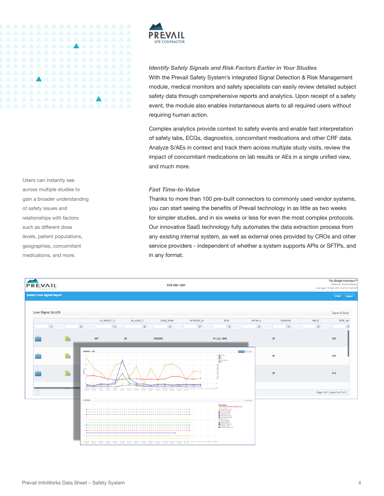

### *Identify Safety Signals and Risk Factors Earlier in Your Studies*

With the Prevail Safety System's integrated Signal Detection & Risk Management module, medical monitors and safety specialists can easily review detailed subject safety data through comprehensive reports and analytics. Upon receipt of a safety event, the module also enables instantaneous alerts to all required users without requiring human action.

Complex analytics provide context to safety events and enable fast interpretation of safety labs, ECGs, diagnostics, concomitant medications and other CRF data. Analyze S/AEs in context and track them across multiple study visits, review the impact of concomitant medications on lab results or AEs in a single unified view, and much more.

*Fast Time-to-Value*

Thanks to more than 100 pre-built connectors to commonly used vendor systems, you can start seeing the benefits of Prevail technology in as little as two weeks for simpler studies, and in six weeks or less for even the most complex protocols. Our innovative SaaS technology fully automates the data extraction process from any existing internal system, as well as external ones provided by CROs and other service providers - independent of whether a system supports APIs or SFTPs, and in any format.



Users can instantly see across multiple studies to gain a broader understanding of safety issues and relationships with factors such as different dose levels, patient populations, geographies, concomitant medications, and more.

**AAAAAA** 

*AAAAAAAAAAAAAA*